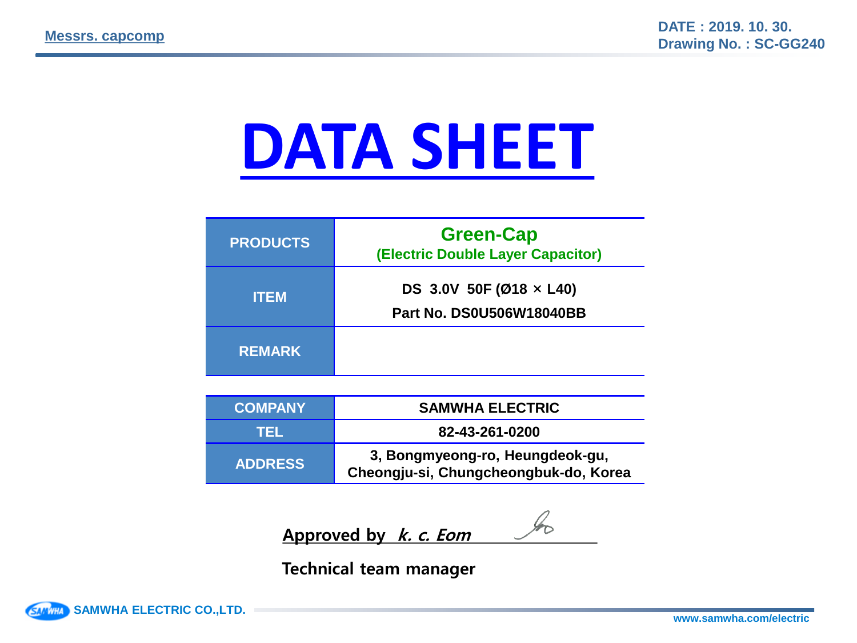# **DATA SHEET**

| <b>PRODUCTS</b> | <b>Green-Cap</b><br>(Electric Double Layer Capacitor)             |
|-----------------|-------------------------------------------------------------------|
| <b>ITEM</b>     | DS 3.0V 50F (Ø18 $\times$ L40)<br><b>Part No. DS0U506W18040BB</b> |
| <b>REMARK</b>   |                                                                   |

| <b>COMPANY</b> | <b>SAMWHA ELECTRIC</b>                                                   |  |  |  |
|----------------|--------------------------------------------------------------------------|--|--|--|
| TEL.           | 82-43-261-0200                                                           |  |  |  |
| <b>ADDRESS</b> | 3, Bongmyeong-ro, Heungdeok-gu,<br>Cheongju-si, Chungcheongbuk-do, Korea |  |  |  |

Approved by *k. c. Eom* 

Technical team manager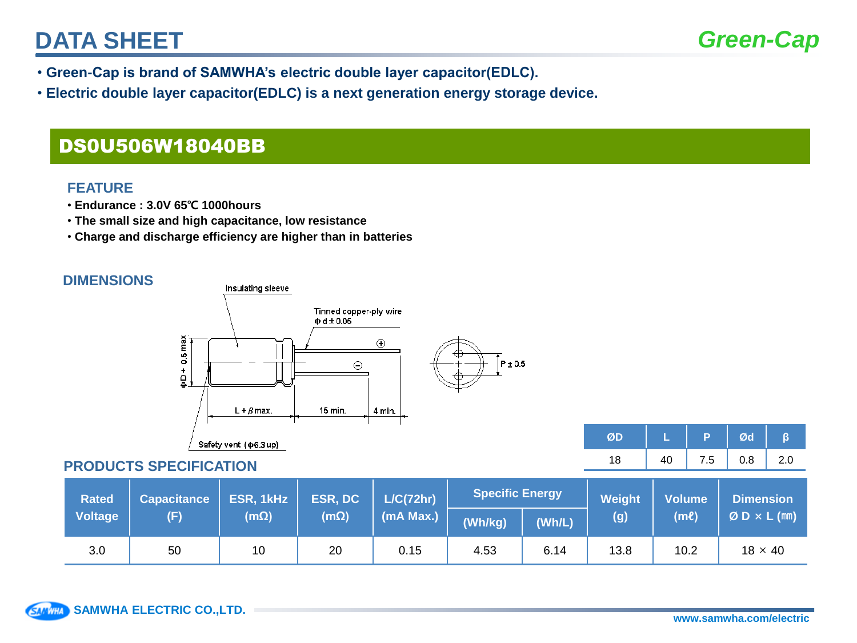## **DATA SHEET**

- **Green-Cap is brand of SAMWHA's electric double layer capacitor(EDLC).**
- **Electric double layer capacitor(EDLC) is a next generation energy storage device.**

### DS0U506W18040BB

#### **FEATURE**

- **Endurance : 3.0V 65**℃ **1000hours**
- **The small size and high capacitance, low resistance**
- **Charge and discharge efficiency are higher than in batteries**

#### **DIMENSIONS**



#### **PRODUCTS SPECIFICATION**

| <b>Rated</b> | <b>Capacitance</b> | ESR, 1kHz   | ESR, DC<br>$(m\Omega)$ |           | L/C(72hr) | <b>Specific Energy</b> |      | Weight<br>(g) | <b>Volume</b><br>(ml) | <b>Dimension</b><br>$ØD \times L$ (mm) |
|--------------|--------------------|-------------|------------------------|-----------|-----------|------------------------|------|---------------|-----------------------|----------------------------------------|
| Voltage      | (F)                | $(m\Omega)$ |                        | (mA Max.) | (Wh/kg)   | (Wh/L)                 |      |               |                       |                                        |
| 3.0          | 50                 | 10          | 20                     | 0.15      | 4.53      | 6.14                   | 13.8 | 10.2          | $18 \times 40$        |                                        |

**Ø D L P Ø d β** 18 | 40 | 7.5 | 0.8 | 2.0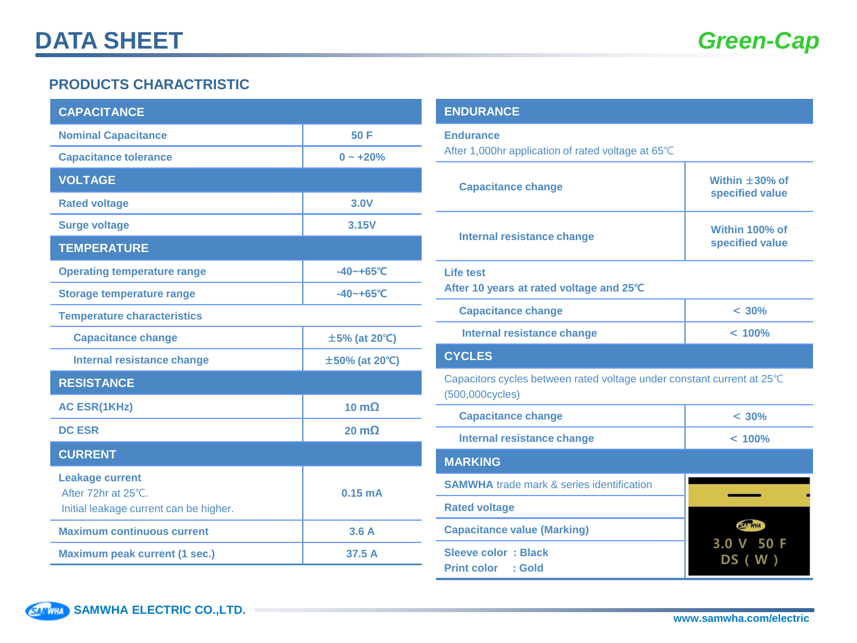#### **PRODUCTS CHARACTRISTIC**

| <b>CAPACITANCE</b>                                                                      |                      |  |  |  |  |
|-----------------------------------------------------------------------------------------|----------------------|--|--|--|--|
| <b>Nominal Capacitance</b>                                                              | 50 F                 |  |  |  |  |
| <b>Capacitance tolerance</b>                                                            | $0 - +20%$           |  |  |  |  |
| <b>VOLTAGE</b>                                                                          |                      |  |  |  |  |
| <b>Rated voltage</b>                                                                    | 3.0V                 |  |  |  |  |
| <b>Surge voltage</b>                                                                    | 3.15V                |  |  |  |  |
| <b>TEMPERATURE</b>                                                                      |                      |  |  |  |  |
| <b>Operating temperature range</b>                                                      | $-40 - +65$ °C       |  |  |  |  |
| <b>Storage temperature range</b>                                                        | $-40 - +65$ °C       |  |  |  |  |
| <b>Temperature characteristics</b>                                                      |                      |  |  |  |  |
| <b>Capacitance change</b>                                                               | $\pm$ 5% (at 20°C)   |  |  |  |  |
| <b>Internal resistance change</b>                                                       | ±50% (at 20°C)       |  |  |  |  |
| <b>RESISTANCE</b>                                                                       |                      |  |  |  |  |
| <b>AC ESR(1KHz)</b>                                                                     | 10 $m\Omega$         |  |  |  |  |
| <b>DC ESR</b>                                                                           | $20 \text{ m}\Omega$ |  |  |  |  |
| <b>CURRENT</b>                                                                          |                      |  |  |  |  |
| <b>Leakage current</b><br>After 72hr at 25°C.<br>Initial leakage current can be higher. | 0.15 <sub>m</sub> A  |  |  |  |  |
| <b>Maximum continuous current</b>                                                       | 3.6A                 |  |  |  |  |
| <b>Maximum peak current (1 sec.)</b>                                                    | 37.5 A               |  |  |  |  |

#### **ENDURANCE Endurance** After 1,000hr application of rated voltage at 65℃ **Capacitance change Capacitance change Capacitance change Within**  $\pm$ **30% of specified value Internal resistance change Within 100% of specified value Life test After 10 years at rated voltage and 25**℃ **Capacitance change** < **30% Internal resistance change** < **100% CYCLES** Capacitors cycles between rated voltage under constant current at 25℃ (500,000cycles) **Capacitance change** < **30% Internal resistance change** < **100% MARKING SAMWHA** trade mark & series identification **Rated voltage SANWHA Capacitance value (Marking)** 3.0 V 50 F **Sleeve color : Black** W DS ( W )**Print color : Gold**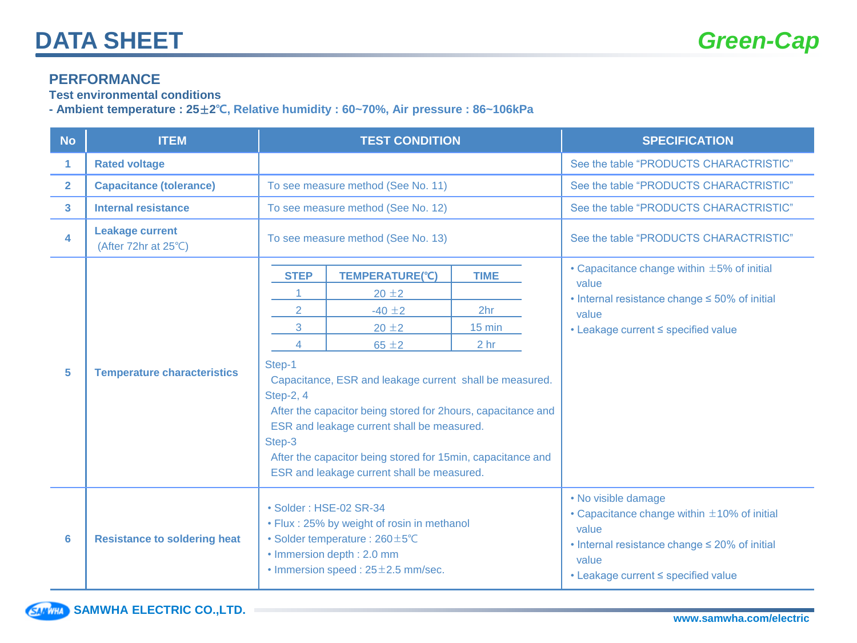#### **PERFORMANCE**

**Test environmental conditions**

**- Ambient temperature : 25**±**2**℃**, Relative humidity : 60~70%, Air pressure : 86~106kPa**

| <b>No</b>               | <b>ITEM</b>                                    | <b>TEST CONDITION</b>                                                                                                                                                                                                                                                                                                                                                                                                                             | <b>SPECIFICATION</b>                                      |                                                                                                                                                                                         |
|-------------------------|------------------------------------------------|---------------------------------------------------------------------------------------------------------------------------------------------------------------------------------------------------------------------------------------------------------------------------------------------------------------------------------------------------------------------------------------------------------------------------------------------------|-----------------------------------------------------------|-----------------------------------------------------------------------------------------------------------------------------------------------------------------------------------------|
| 1.                      | <b>Rated voltage</b>                           |                                                                                                                                                                                                                                                                                                                                                                                                                                                   |                                                           | See the table "PRODUCTS CHARACTRISTIC"                                                                                                                                                  |
| $\overline{2}$          | <b>Capacitance (tolerance)</b>                 | To see measure method (See No. 11)                                                                                                                                                                                                                                                                                                                                                                                                                |                                                           | See the table "PRODUCTS CHARACTRISTIC"                                                                                                                                                  |
| $\overline{\mathbf{3}}$ | Internal resistance                            | To see measure method (See No. 12)                                                                                                                                                                                                                                                                                                                                                                                                                |                                                           | See the table "PRODUCTS CHARACTRISTIC"                                                                                                                                                  |
| 4                       | <b>Leakage current</b><br>(After 72hr at 25°C) | To see measure method (See No. 13)                                                                                                                                                                                                                                                                                                                                                                                                                |                                                           | See the table "PRODUCTS CHARACTRISTIC"                                                                                                                                                  |
| 5                       | <b>Temperature characteristics</b>             | <b>STEP</b><br><b>TEMPERATURE(°C)</b><br>$20 \pm 2$<br>$\overline{2}$<br>$-40 \pm 2$<br>3<br>$20 \pm 2$<br>$65 \pm 2$<br>4<br>Step-1<br>Capacitance, ESR and leakage current shall be measured.<br>Step-2, 4<br>After the capacitor being stored for 2hours, capacitance and<br>ESR and leakage current shall be measured.<br>Step-3<br>After the capacitor being stored for 15min, capacitance and<br>ESR and leakage current shall be measured. | <b>TIME</b><br>2hr<br>$15 \text{ min}$<br>2 <sub>hr</sub> | $\cdot$ Capacitance change within $\pm$ 5% of initial<br>value<br>• Internal resistance change $\leq 50\%$ of initial<br>value<br>• Leakage current < specified value                   |
| 6                       | <b>Resistance to soldering heat</b>            | • Solder: HSE-02 SR-34<br>• Flux: 25% by weight of rosin in methanol<br>• Solder temperature: 260±5°C<br>• Immersion depth: 2.0 mm<br>$\cdot$ Immersion speed: 25 $\pm$ 2.5 mm/sec.                                                                                                                                                                                                                                                               |                                                           | • No visible damage<br>• Capacitance change within $\pm 10\%$ of initial<br>value<br>• Internal resistance change $\leq$ 20% of initial<br>value<br>• Leakage current < specified value |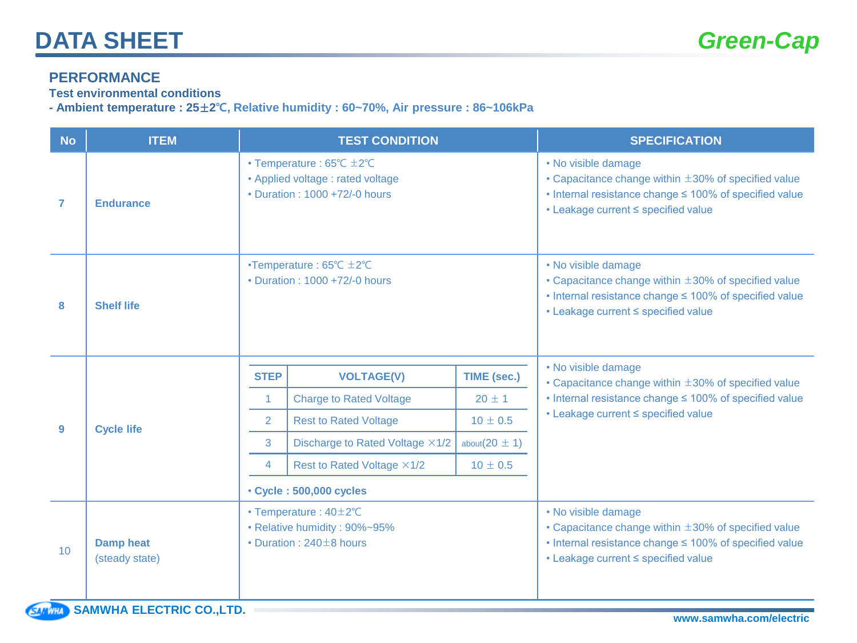#### **PERFORMANCE**

**Test environmental conditions**

**- Ambient temperature : 25**±**2**℃**, Relative humidity : 60~70%, Air pressure : 86~106kPa**

| <b>No</b> | <b>ITEM</b>                        |                                                                                               | <b>TEST CONDITION</b>                                                                                                  |                     | <b>SPECIFICATION</b>                                                                                                                                                                   |
|-----------|------------------------------------|-----------------------------------------------------------------------------------------------|------------------------------------------------------------------------------------------------------------------------|---------------------|----------------------------------------------------------------------------------------------------------------------------------------------------------------------------------------|
| 7         | <b>Endurance</b>                   |                                                                                               | • Temperature : $65^{\circ}$ C $\pm 2^{\circ}$ C<br>• Applied voltage : rated voltage<br>• Duration: 1000 +72/-0 hours |                     | • No visible damage<br>• Capacitance change within $\pm 30\%$ of specified value<br>• Internal resistance change $\leq$ 100% of specified value<br>• Leakage current < specified value |
| 8         | <b>Shelf life</b>                  |                                                                                               | •Temperature: $65^{\circ}$ C $\pm 2^{\circ}$ C<br>• Duration: 1000 +72/-0 hours                                        |                     | • No visible damage<br>• Capacitance change within $\pm 30\%$ of specified value<br>• Internal resistance change ≤ 100% of specified value<br>• Leakage current < specified value      |
|           | <b>Cycle life</b>                  | <b>STEP</b>                                                                                   | <b>VOLTAGE(V)</b>                                                                                                      | <b>TIME (sec.)</b>  | • No visible damage                                                                                                                                                                    |
|           |                                    |                                                                                               | <b>Charge to Rated Voltage</b>                                                                                         | $20 \pm 1$          | • Capacitance change within $\pm 30\%$ of specified value<br>• Internal resistance change ≤ 100% of specified value                                                                    |
| 9         |                                    | $\overline{2}$                                                                                | <b>Rest to Rated Voltage</b>                                                                                           | $10 \pm 0.5$        | • Leakage current < specified value                                                                                                                                                    |
|           |                                    | 3                                                                                             | Discharge to Rated Voltage ×1/2                                                                                        | about( $20 \pm 1$ ) |                                                                                                                                                                                        |
|           |                                    | 4                                                                                             | Rest to Rated Voltage ×1/2                                                                                             | $10 \pm 0.5$        |                                                                                                                                                                                        |
|           |                                    |                                                                                               | • Cycle: 500,000 cycles                                                                                                |                     |                                                                                                                                                                                        |
| 10        | <b>Damp heat</b><br>(steady state) | $\cdot$ Temperature : 40 $\pm$ 2°C<br>• Relative humidity: 90%~95%<br>• Duration: 240±8 hours |                                                                                                                        |                     | • No visible damage<br>• Capacitance change within $\pm 30\%$ of specified value<br>• Internal resistance change ≤ 100% of specified value<br>• Leakage current < specified value      |